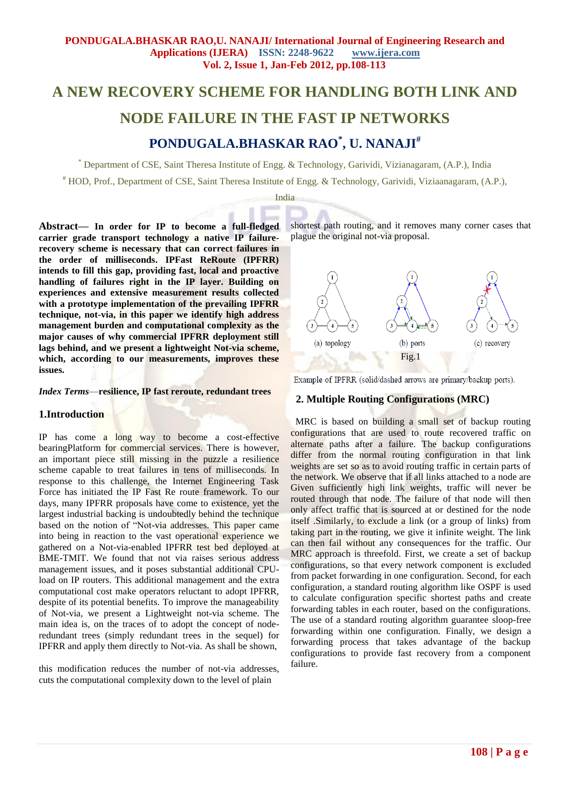# **A NEW RECOVERY SCHEME FOR HANDLING BOTH LINK AND NODE FAILURE IN THE FAST IP NETWORKS PONDUGALA.BHASKAR RAO\* , U. NANAJI#**

\* Department of CSE, Saint Theresa Institute of Engg. & Technology, Garividi, Vizianagaram, (A.P.), India

# HOD, Prof., Department of CSE, Saint Theresa Institute of Engg. & Technology, Garividi, Viziaanagaram, (A.P.),

# India

**Abstract***—* **In order for IP to become a full-fledged carrier grade transport technology a native IP failurerecovery scheme is necessary that can correct failures in the order of milliseconds. IPFast ReRoute (IPFRR) intends to fill this gap, providing fast, local and proactive handling of failures right in the IP layer. Building on experiences and extensive measurement results collected with a prototype implementation of the prevailing IPFRR technique, not-via, in this paper we identify high address management burden and computational complexity as the major causes of why commercial IPFRR deployment still lags behind, and we present a lightweight Not-via scheme, which, according to our measurements, improves these issues.**

*Index Terms*—**resilience, IP fast reroute, redundant trees**

#### **1.Introduction**

IP has come a long way to become a cost-effective bearingPlatform for commercial services. There is however, an important piece still missing in the puzzle a resilience scheme capable to treat failures in tens of milliseconds. In response to this challenge, the Internet Engineering Task Force has initiated the IP Fast Re route framework. To our days, many IPFRR proposals have come to existence, yet the largest industrial backing is undoubtedly behind the technique based on the notion of "Not-via addresses. This paper came into being in reaction to the vast operational experience we gathered on a Not-via-enabled IPFRR test bed deployed at BME-TMIT. We found that not via raises serious address management issues, and it poses substantial additional CPUload on IP routers. This additional management and the extra computational cost make operators reluctant to adopt IPFRR, despite of its potential benefits. To improve the manageability of Not-via, we present a Lightweight not-via scheme. The main idea is, on the traces of to adopt the concept of noderedundant trees (simply redundant trees in the sequel) for IPFRR and apply them directly to Not-via. As shall be shown,

this modification reduces the number of not-via addresses, cuts the computational complexity down to the level of plain

shortest path routing, and it removes many corner cases that plague the original not-via proposal.



Example of IPFRR (solid/dashed arrows are primary/backup ports).

## **2. Multiple Routing Configurations (MRC)**

 MRC is based on building a small set of backup routing configurations that are used to route recovered traffic on alternate paths after a failure. The backup configurations differ from the normal routing configuration in that link weights are set so as to avoid routing traffic in certain parts of the network. We observe that if all links attached to a node are Given sufficiently high link weights, traffic will never be routed through that node. The failure of that node will then only affect traffic that is sourced at or destined for the node itself .Similarly, to exclude a link (or a group of links) from taking part in the routing, we give it infinite weight. The link can then fail without any consequences for the traffic. Our MRC approach is threefold. First, we create a set of backup configurations, so that every network component is excluded from packet forwarding in one configuration. Second, for each configuration, a standard routing algorithm like OSPF is used to calculate configuration specific shortest paths and create forwarding tables in each router, based on the configurations. The use of a standard routing algorithm guarantee sloop-free forwarding within one configuration. Finally, we design a forwarding process that takes advantage of the backup configurations to provide fast recovery from a component failure.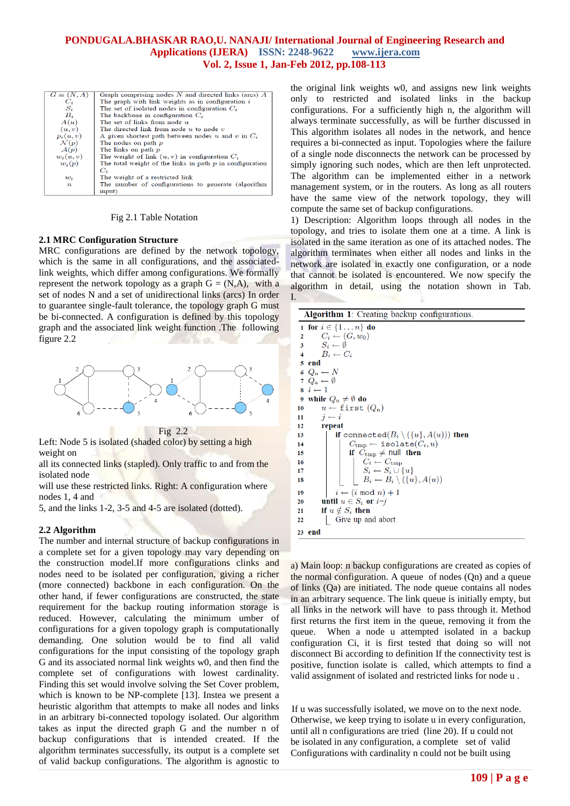| $G=(N,A)$        | Graph comprising nodes $N$ and directed links (arcs) $A$   |
|------------------|------------------------------------------------------------|
| $C_i$            | The graph with link weights as in configuration $i$        |
| $S_i$            | The set of isolated nodes in configuration $C_i$           |
| $B_i$            | The backbone in configuration $C_i$                        |
| A(u)             | The set of links from node $u$                             |
| (u, v)           | The directed link from node $u$ to node $v$                |
| $p_i(u,v)$       | A given shortest path between nodes u and v in $C_i$       |
| $\mathcal{N}(p)$ | The nodes on path $p$                                      |
| $\mathcal{A}(p)$ | The links on path $p$                                      |
| $w_i(u, v)$      | The weight of link $(u, v)$ in configuration $C_i$         |
| $w_i(p)$         | The total weight of the links in path $p$ in configuration |
|                  | $C_i$                                                      |
| $w_{\rm r}$      | The weight of a restricted link                            |
| $\boldsymbol{n}$ | The number of configurations to generate (algorithm        |
|                  | input)                                                     |

#### Fig 2.1 Table Notation

#### **2.1 MRC Configuration Structure**

MRC configurations are defined by the network topology, which is the same in all configurations, and the associatedlink weights, which differ among configurations. We formally represent the network topology as a graph  $G = (N,A)$ , with a set of nodes N and a set of unidirectional links (arcs) In order to guarantee single-fault tolerance, the topology graph G must be bi-connected. A configuration is defined by this topology graph and the associated link weight function .The following figure 2.2



Fig 2.2

Left: Node 5 is isolated (shaded color) by setting a high weight on

all its connected links (stapled). Only traffic to and from the isolated node

will use these restricted links. Right: A configuration where nodes 1, 4 and

5, and the links 1-2, 3-5 and 4-5 are isolated (dotted).

#### **2.2 Algorithm**

The number and internal structure of backup configurations in a complete set for a given topology may vary depending on the construction model.If more configurations clinks and nodes need to be isolated per configuration, giving a richer (more connected) backbone in each configuration. On the other hand, if fewer configurations are constructed, the state requirement for the backup routing information storage is reduced. However, calculating the minimum umber of configurations for a given topology graph is computationally demanding. One solution would be to find all valid configurations for the input consisting of the topology graph G and its associated normal link weights w0, and then find the complete set of configurations with lowest cardinality. Finding this set would involve solving the Set Cover problem, which is known to be NP-complete [13]. Instea we present a heuristic algorithm that attempts to make all nodes and links in an arbitrary bi-connected topology isolated. Our algorithm takes as input the directed graph G and the number n of backup configurations that is intended created. If the algorithm terminates successfully, its output is a complete set of valid backup configurations. The algorithm is agnostic to

the original link weights w0, and assigns new link weights only to restricted and isolated links in the backup configurations. For a sufficiently high n, the algorithm will always terminate successfully, as will be further discussed in This algorithm isolates all nodes in the network, and hence requires a bi-connected as input. Topologies where the failure of a single node disconnects the network can be processed by simply ignoring such nodes, which are then left unprotected. The algorithm can be implemented either in a network management system, or in the routers. As long as all routers have the same view of the network topology, they will compute the same set of backup configurations.

1) Description: Algorithm loops through all nodes in the topology, and tries to isolate them one at a time. A link is isolated in the same iteration as one of its attached nodes. The algorithm terminates when either all nodes and links in the network are isolated in exactly one configuration, or a node that cannot be isolated is encountered. We now specify the algorithm in detail, using the notation shown in Tab. I.

| <b>Algorithm 1</b> : Creating backup configurations.                                                                                                                    |  |  |
|-------------------------------------------------------------------------------------------------------------------------------------------------------------------------|--|--|
| 1 for $i \in \{1n\}$ do                                                                                                                                                 |  |  |
| $C_i \leftarrow (G,w_0)$<br>2                                                                                                                                           |  |  |
| 3 $S_i \leftarrow \emptyset$                                                                                                                                            |  |  |
| $B_i \leftarrow C_i$<br>4                                                                                                                                               |  |  |
| 5 end                                                                                                                                                                   |  |  |
| 6 $Q_n \leftarrow N$                                                                                                                                                    |  |  |
| 7 $Q_{\rm a} \leftarrow \emptyset$                                                                                                                                      |  |  |
| $\mathbf{s}$ $i \leftarrow 1$                                                                                                                                           |  |  |
| 9 while $Q_{n} \neq \emptyset$ do                                                                                                                                       |  |  |
| $u \leftarrow \texttt{first}\ (Q_\text{n})$<br>10                                                                                                                       |  |  |
| 11 $j \leftarrow i$                                                                                                                                                     |  |  |
| repeat<br>12                                                                                                                                                            |  |  |
| <b>if</b> connected( $B_i \setminus (\{u\}, A(u))$ ) then<br>13                                                                                                         |  |  |
| $C_{\text{tmp}} \leftarrow \texttt{isolate}(C_i, u)$<br>14                                                                                                              |  |  |
| if $C_{\text{tmp}} \neq \text{null}$ then<br>15                                                                                                                         |  |  |
| $\begin{array}{ c c } & C_i \leftarrow C_{\text{tmp}} & \cr & S_i \leftarrow S_i \cup \{u\} & \cr & B_i \leftarrow B_i \setminus (\{u\}, A(u)) & \cr \end{array}$<br>16 |  |  |
| 17                                                                                                                                                                      |  |  |
| 18                                                                                                                                                                      |  |  |
| $i \leftarrow (i \mod n) + 1$<br>19                                                                                                                                     |  |  |
| until $u \in S_i$ or $i = j$<br>20                                                                                                                                      |  |  |
| if $u \notin S_i$ then<br>21                                                                                                                                            |  |  |
| Give up and abort<br>22                                                                                                                                                 |  |  |
| 23 end                                                                                                                                                                  |  |  |
|                                                                                                                                                                         |  |  |

a) Main loop: n backup configurations are created as copies of the normal configuration. A queue of nodes (Qn) and a queue of links (Qa) are initiated. The node queue contains all nodes in an arbitrary sequence. The link queue is initially empty, but all links in the network will have to pass through it. Method first returns the first item in the queue, removing it from the queue. When a node u attempted isolated in a backup configuration Ci, it is first tested that doing so will not disconnect Bi according to definition If the connectivity test is positive, function isolate is called, which attempts to find a valid assignment of isolated and restricted links for node u .

 If u was successfully isolated, we move on to the next node. Otherwise, we keep trying to isolate u in every configuration, until all n configurations are tried (line 20). If u could not be isolated in any configuration, a complete set of valid Configurations with cardinality n could not be built using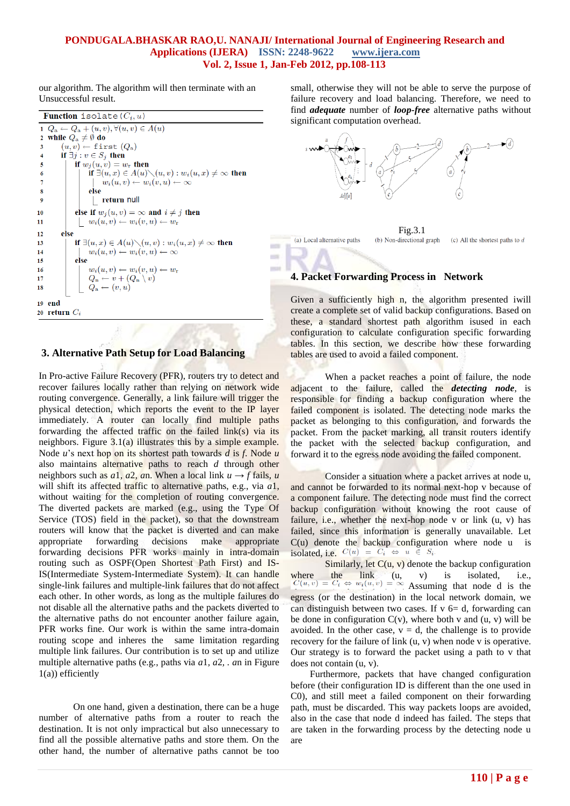**COLOR** 

**COLOR** 

mi

our algorithm. The algorithm will then terminate with an Unsuccessful result.

**Function** isolate  $(C_i, u)$ 1  $Q_{\rm a} \leftarrow Q_{\rm a} + (u, v), \forall (u, v) \in A(u)$ 2 while  $Q_{\rm a}\neq\emptyset$  do  $(u, v) \leftarrow$  first  $(Q_a)$  $\overline{3}$ if  $\exists j : v \in S_j$  then  $\overline{4}$  $\overline{\mathbf{5}}$ if  $w_i(u, v) = w_r$  then if  $\exists (u, x) \in A(u) \diagdown (u, v) : w_i(u, x) \neq \infty$  then  $\boldsymbol{6}$  $\overline{7}$  $w_i(u,v) \leftarrow w_i(v,u) \leftarrow \infty$ else  $\overline{\mathbf{8}}$ | return null q 10 else if  $w_i(u, v) = \infty$  and  $i \neq j$  then  $w_i(u,v) \leftarrow w_i(v,u) \leftarrow w_\mathrm{r}$  $11$  $12$ else if  $\exists (u, x) \in A(u) \diagdown (u, v) : w_i(u, x) \neq \infty$  then 13  $14$  $w_i(u,v) \leftarrow w_i(v,u) \leftarrow \infty$ 15 else  $w_i(u,v) \leftarrow w_i(v,u) \leftarrow w_{\text{r}}$ 16  $Q_{\rm n} \leftarrow v + (Q_{\rm n} \setminus v)$  $17$  $Q_{\rm a} \leftarrow (v, u)$ 18 19 end 20 return  $C_i$ 

## **3. Alternative Path Setup for Load Balancing**

In Pro-active Failure Recovery (PFR), routers try to detect and recover failures locally rather than relying on network wide routing convergence. Generally, a link failure will trigger the physical detection, which reports the event to the IP layer immediately. A router can locally find multiple paths forwarding the affected traffic on the failed link(s) via its neighbors. Figure 3.1(a) illustrates this by a simple example. Node *u*'s next hop on its shortest path towards *d* is *f*. Node *u*  also maintains alternative paths to reach *d* through other neighbors such as  $a_1$ ,  $a_2$ ,  $a_n$ . When a local link  $u \rightarrow f$  fails,  $u$ will shift its affected traffic to alternative paths, e.g., via *a*1, without waiting for the completion of routing convergence. The diverted packets are marked (e.g., using the Type Of Service (TOS) field in the packet), so that the downstream routers will know that the packet is diverted and can make appropriate forwarding decisions make appropriate forwarding decisions PFR works mainly in intra-domain routing such as OSPF(Open Shortest Path First) and IS-IS(Intermediate System-Intermediate System). It can handle single-link failures and multiple-link failures that do not affect each other. In other words, as long as the multiple failures do not disable all the alternative paths and the packets diverted to the alternative paths do not encounter another failure again, PFR works fine. Our work is within the same intra-domain routing scope and inheres the same limitation regarding multiple link failures. Our contribution is to set up and utilize multiple alternative paths (e.g., paths via *a*1*, a*2*, . a*n in Figure 1(a)) efficiently

 On one hand, given a destination, there can be a huge number of alternative paths from a router to reach the destination. It is not only impractical but also unnecessary to find all the possible alternative paths and store them. On the other hand, the number of alternative paths cannot be too small, otherwise they will not be able to serve the purpose of failure recovery and load balancing. Therefore, we need to find *adequate* number of *loop-free* alternative paths without significant computation overhead.



# **4. Packet Forwarding Process in Network**

Given a sufficiently high n, the algorithm presented iwill create a complete set of valid backup configurations. Based on these, a standard shortest path algorithm isused in each configuration to calculate configuration specific forwarding tables. In this section, we describe how these forwarding tables are used to avoid a failed component.

When a packet reaches a point of failure, the node adjacent to the failure, called the *detecting node*, is responsible for finding a backup configuration where the failed component is isolated. The detecting node marks the packet as belonging to this configuration, and forwards the packet. From the packet marking, all transit routers identify the packet with the selected backup configuration, and forward it to the egress node avoiding the failed component.

Consider a situation where a packet arrives at node u, and cannot be forwarded to its normal next-hop v because of a component failure. The detecting node must find the correct backup configuration without knowing the root cause of failure, i.e., whether the next-hop node v or link (u, v) has failed, since this information is generally unavailable. Let  $C(u)$  denote the backup configuration where node u is isolated, i.e.  $C(u) = C_i \Leftrightarrow u \in S_i$ .

Similarly, let  $C(u, v)$  denote the backup configuration where the  $link$   $(u, v)$  is isolated, i.e., Assuming that node d is the egress (or the destination) in the local network domain, we can distinguish between two cases. If  $v$  6= d, forwarding can be done in configuration  $C(v)$ , where both v and  $(u, v)$  will be avoided. In the other case,  $v = d$ , the challenge is to provide recovery for the failure of link (u, v) when node v is operative. Our strategy is to forward the packet using a path to v that does not contain (u, v).

 Furthermore, packets that have changed configuration before (their configuration ID is different than the one used in C0), and still meet a failed component on their forwarding path, must be discarded. This way packets loops are avoided, also in the case that node d indeed has failed. The steps that are taken in the forwarding process by the detecting node u are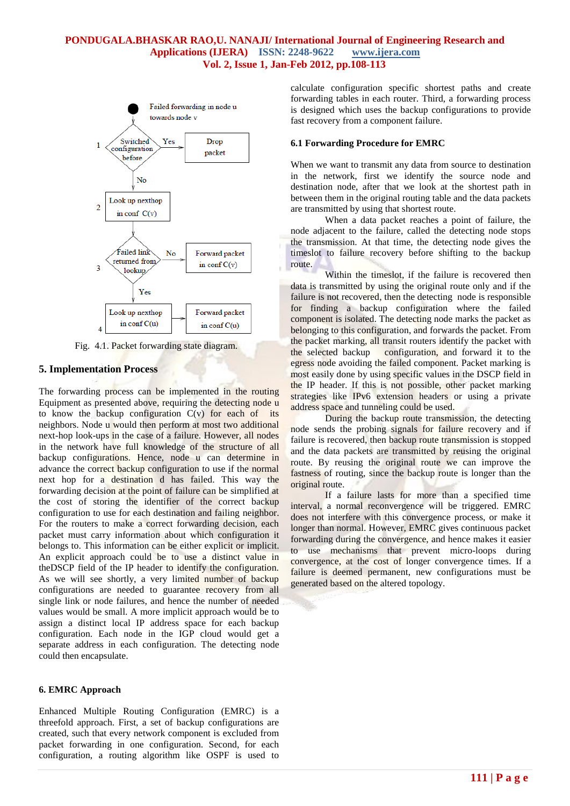

Fig. 4.1. Packet forwarding state diagram.

#### **5. Implementation Process**

The forwarding process can be implemented in the routing Equipment as presented above, requiring the detecting node u to know the backup configuration  $C(v)$  for each of its neighbors. Node u would then perform at most two additional next-hop look-ups in the case of a failure. However, all nodes in the network have full knowledge of the structure of all backup configurations. Hence, node u can determine in advance the correct backup configuration to use if the normal next hop for a destination d has failed. This way the forwarding decision at the point of failure can be simplified at the cost of storing the identifier of the correct backup configuration to use for each destination and failing neighbor. For the routers to make a correct forwarding decision, each packet must carry information about which configuration it belongs to. This information can be either explicit or implicit. An explicit approach could be to use a distinct value in theDSCP field of the IP header to identify the configuration. As we will see shortly, a very limited number of backup configurations are needed to guarantee recovery from all single link or node failures, and hence the number of needed values would be small. A more implicit approach would be to assign a distinct local IP address space for each backup configuration. Each node in the IGP cloud would get a separate address in each configuration. The detecting node could then encapsulate.

#### **6. EMRC Approach**

Enhanced Multiple Routing Configuration (EMRC) is a threefold approach. First, a set of backup configurations are created, such that every network component is excluded from packet forwarding in one configuration. Second, for each configuration, a routing algorithm like OSPF is used to

calculate configuration specific shortest paths and create forwarding tables in each router. Third, a forwarding process is designed which uses the backup configurations to provide fast recovery from a component failure.

#### **6.1 Forwarding Procedure for EMRC**

When we want to transmit any data from source to destination in the network, first we identify the source node and destination node, after that we look at the shortest path in between them in the original routing table and the data packets are transmitted by using that shortest route.

When a data packet reaches a point of failure, the node adjacent to the failure, called the detecting node stops the transmission. At that time, the detecting node gives the timeslot to failure recovery before shifting to the backup route.

Within the timeslot, if the failure is recovered then data is transmitted by using the original route only and if the failure is not recovered, then the detecting node is responsible for finding a backup configuration where the failed component is isolated. The detecting node marks the packet as belonging to this configuration, and forwards the packet. From the packet marking, all transit routers identify the packet with the selected backup configuration, and forward it to the egress node avoiding the failed component. Packet marking is most easily done by using specific values in the DSCP field in the IP header. If this is not possible, other packet marking strategies like IPv6 extension headers or using a private address space and tunneling could be used.

During the backup route transmission, the detecting node sends the probing signals for failure recovery and if failure is recovered, then backup route transmission is stopped and the data packets are transmitted by reusing the original route. By reusing the original route we can improve the fastness of routing, since the backup route is longer than the original route.

If a failure lasts for more than a specified time interval, a normal reconvergence will be triggered. EMRC does not interfere with this convergence process, or make it longer than normal. However, EMRC gives continuous packet forwarding during the convergence, and hence makes it easier to use mechanisms that prevent micro-loops during convergence, at the cost of longer convergence times. If a failure is deemed permanent, new configurations must be generated based on the altered topology.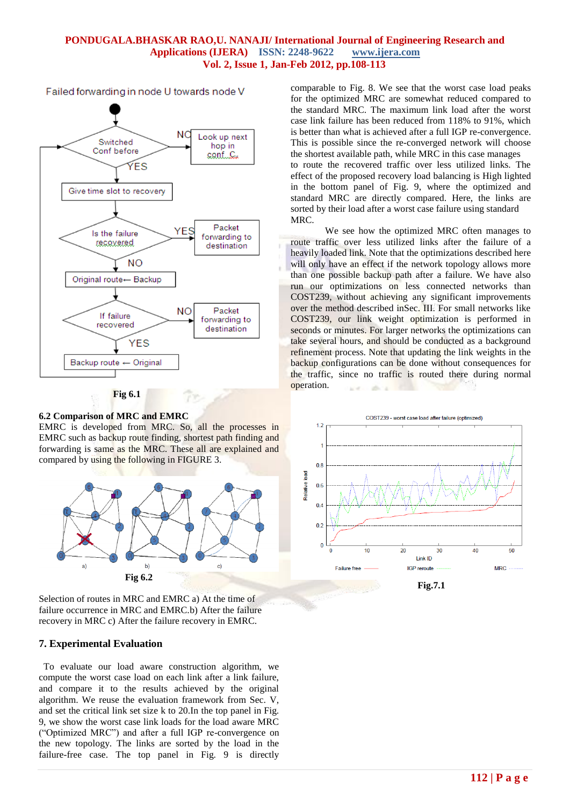Failed forwarding in node U towards node V



 **Fig 6.1**

## **6.2 Comparison of MRC and EMRC**

EMRC is developed from MRC. So, all the processes in EMRC such as backup route finding, shortest path finding and forwarding is same as the MRC. These all are explained and compared by using the following in FIGURE 3.



Selection of routes in MRC and EMRC a) At the time of failure occurrence in MRC and EMRC.b) After the failure recovery in MRC c) After the failure recovery in EMRC.

## **7. Experimental Evaluation**

 To evaluate our load aware construction algorithm, we compute the worst case load on each link after a link failure, and compare it to the results achieved by the original algorithm. We reuse the evaluation framework from Sec. V, and set the critical link set size k to 20.In the top panel in Fig. 9, we show the worst case link loads for the load aware MRC ("Optimized MRC") and after a full IGP re-convergence on the new topology. The links are sorted by the load in the failure-free case. The top panel in Fig. 9 is directly

comparable to Fig. 8. We see that the worst case load peaks for the optimized MRC are somewhat reduced compared to the standard MRC. The maximum link load after the worst case link failure has been reduced from 118% to 91%, which is better than what is achieved after a full IGP re-convergence. This is possible since the re-converged network will choose the shortest available path, while MRC in this case manages to route the recovered traffic over less utilized links. The effect of the proposed recovery load balancing is High lighted in the bottom panel of Fig. 9, where the optimized and standard MRC are directly compared. Here, the links are sorted by their load after a worst case failure using standard MRC.

 We see how the optimized MRC often manages to route traffic over less utilized links after the failure of a heavily loaded link. Note that the optimizations described here will only have an effect if the network topology allows more than one possible backup path after a failure. We have also run our optimizations on less connected networks than COST239, without achieving any significant improvements over the method described inSec. III. For small networks like COST239, our link weight optimization is performed in seconds or minutes. For larger networks the optimizations can take several hours, and should be conducted as a background refinement process. Note that updating the link weights in the backup configurations can be done without consequences for the traffic, since no traffic is routed there during normal operation. **START**  $-100 - 100$